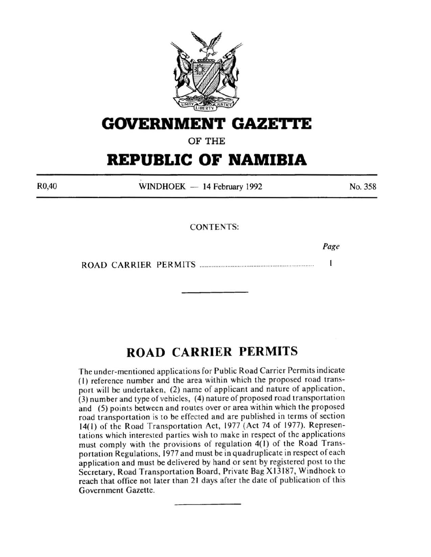

# **GOVERNMENT GAZET'tE**

**OF THE** 

# **REPUBLIC OF NAMIBIA**

R0,40

WINDHOEK - 14 February 1992

No. 358

CONTENTS:

Page

 $\mathbf{I}$ ROAD CARRIER PERMITS ................................................................. .

# **ROAD CARRIER PERMITS**

The under-mentioned applications for Public Road Carrier Permits indicate (I) reference number and the area within which the proposed road transport will be undertaken, (2) name of applicant and nature of application, (3) number and type of vehicles, (4) nature of proposed road transportation and (5) points between and routes over or area within which the proposed road transportation is to be effected and are published in terms of section 14(1) of the Road Transportation Act, 1977 (Act 74 of 1977). Representations which interested parties wish to make in respect of the applications must comply with the provisions of regulation 4(1) of the Road Transportation Regulations, 1977 and must be in quadruplicate in respect of each application and must be delivered by hand or sent by registered post to the Secretary, Road Transportation Board, Private Bag X13187, Windhoek to reach that office not later than 21 days after the date of publication of this Government Gazette.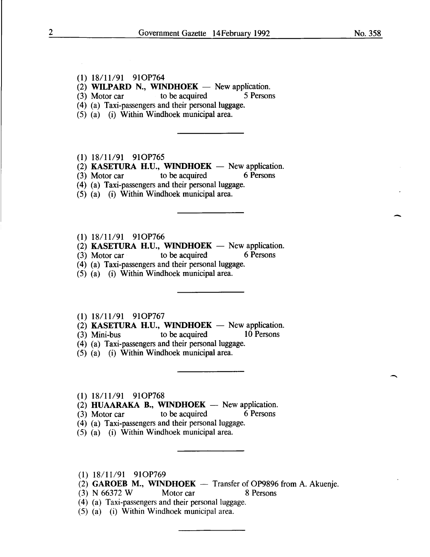-

#### **(1)** 18/11/91 910P764

(2) **WILPARD N., WINDHOEK**  $-$  New application.

(3) Motor car to be acquired 5 Persons

(4) (a) Taxi-passengers and their personal luggage.

(5) (a) (i) Within Windhoek municipal area.

#### **(1)** 18/11191 910P765

(2) **KASETURA H.U., WINDHOEK**  $-$  New application.<br>(3) Motor car to be acquired 6 Persons

 $(3)$  Motor car to be acquired

- (4) (a) Taxi-passengers and their personal luggage.
- (5) (a) (i) Within Windhoek municipal area.

### (1) 18/11/91 910P766

 $(2)$  **KASETURA H.U., WINDHOEK** - New application.

(3) Motor car to be acquired 6 Persons

(4) (a) Taxi-passengers and their personal luggage.

(5) (a) (i) Within Windhoek municipal area.

#### **(1)** 18111191 910P767

(2) **KASETURA H.U., WINDHOEK** — New application.<br>(3) Mini-bus to be acquired 10 Persons

- $(3)$  Mini-bus to be acquired
- (4) (a) Taxi-passengers and their personal luggage.
- (5) (a) (i) Within Windhoek municipal area.
- **(1)** 18/11/91 910P768

 $(2)$  **HUAARAKA B., WINDHOEK** - New application.

- (3) Motor car to be acquired 6 Persons
- (4) (a) Taxi-passengers and their personal luggage.
- (5) (a) (i) Within Windhoek municipal area.
- **(1)** 18111191 910P769
- (2) **GAROEB M., WINDHOEK** Transfer of OP9896 from A. Akuenje.
- (3) N 66372 W Motor car 8 Persons
- (4) (a) Taxi-passengers and their personal luggage.
- (5) (a) (i) Within Windhoek municipal area.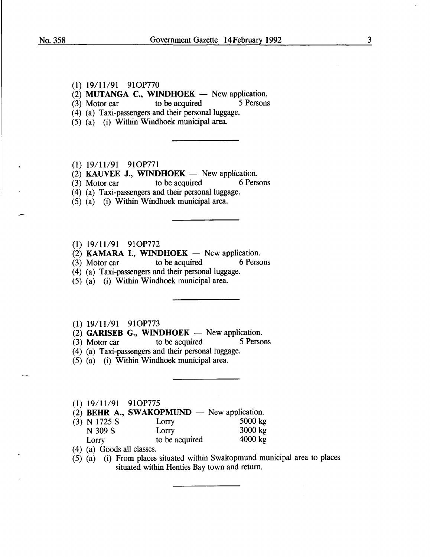- (I) I9/11/9I 9IOP770
- (2) **MUTANGA C., WINDHOEK**  $-$  New application.<br>(3) Motor car to be acquired 5 Persons
- $(3)$  Motor car to be acquired
- (4) (a) Taxi-passengers and their personal luggage.
- (5) (a) (i) Within Windhoek municipal area.
- (1) I9/11/91 910P771
- (2) **KAUVEE J., WINDHOEK**  $-$  New application.<br>(3) Motor car to be acquired 6 Persons
- $(3)$  Motor car to be acquired
- (4) (a) Taxi-passengers and their personal luggage.
- (5) (a) (i) Within Windhoek municipal area.
- (1) 19/11/9I 910P772
- $(2)$  KAMARA I., WINDHOEK New application.
- (3) Motor car to be acquired 6 Persons
- $(4)$  (a) Taxi-passengers and their personal luggage.
- (5) (a) (i) Within Windhoek municipal area.
- (1) 19/11/9I 9IOP773
- (2) GARISEB G., WINDHOEK -- New application.<br>(3) Motor car to be acquired 5 Persons
- $(3)$  Motor car
- (4) (a) Taxi-passengers and their personal luggage.
- (5) (a) (i) Within Windhoek municipal area.
- (I) 19111/91 910P775
- (2) **BEHR A., SWAKOPMUND** New application.<br>(3) N 1725 S Lorry 5000 kg
- (3) N 1725 S Lorry 5000 kg<br>N 309 S Lorry 3000 kg N 309 S Lorry 3000 kg<br>Lorry to be acquired 4000 kg Lorry to be acquired
- ( 4) (a) Goods all classes.
- $(5)$   $(a)$  (i) From places situated within Swakopmund municipal area to places situated within Henties Bay town and return.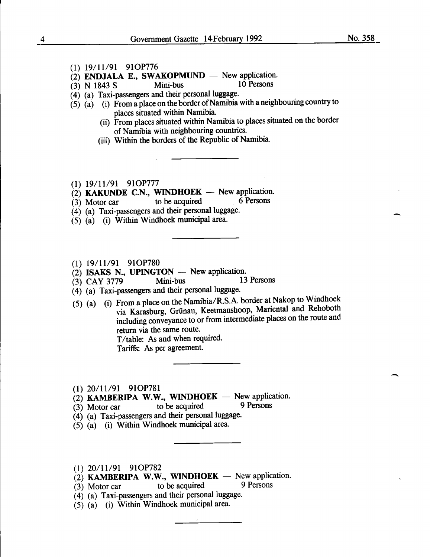No. 358

-

 $\overline{\phantom{a}}$ 

- (1) 19/11/91 910P776
- $\overrightarrow{2}$  ENDJALA E., SWAKOPMUND New application.<br>(3) N 1843 S Mini-bus 10 Persons
- $(3)$  N 1843 S Mini-bus
- (4) (a) Taxi-passengers and their personal luggage.
- $(5)$   $(a)$   $(i)$  From a place on the border of Namibia with a neighbouring country to places situated within Namibia.
	- (ii) From places situated within Namibia to places situated on the border of Namibia with neighbouring countries.
	- (iii) Within the borders of the Republic of Namibia.
- (1) 19/11/91 910P777
- (2) KAKUNDE C.N., WINDHOEK New application.<br>(3) Motor car to be acquired 6 Persons
- $(3)$  Motor car to be acquired
- $(4)$  (a) Taxi-passengers and their personal luggage.
- (5) (a) (i) Within Windhoek municipal area.
- (1) 19/11/91 91OP780
- 

(2) **ISAKS N., UPINGTON** - New application.<br>
(3) CAY 3779 Mini-bus 13 Persons (3) CAY 3779

- (4) (a) Taxi-passengers and their personal luggage.
- (5) (a) (i) From a place on the Namibia/R.S.A. border at Nakop to Windhoek via Karasburg, Griinau, Keetmanshoop, Mariental and Rehoboth including conveyance to or from intermediate places on the route and return via the same route. T/table: As and when required.

Tariffs: As per agreement.

- (1) 20/11/91 910P781
- (2) KAMBERIPA W.W., WINDHOEK New application.<br>(3) Motor car to be acquired 9 Persons
- $(3)$  Motor car to be acquired
- (4) (a) Taxi-passengers and their personal luggage.
- $(5)$   $(a)$  (i) Within Windhoek municipal area.
- (1) 20/11/91 910P782
- (2) KAMBERIPA W.W., WINDHOEK New application.<br>(3) Motor car to be acquired 9 Persons
- $(3)$  Motor car to be acquired
- (4) (a) Taxi-passengers and their personal luggage.
- $(5)$   $(a)$  (i) Within Windhoek municipal area.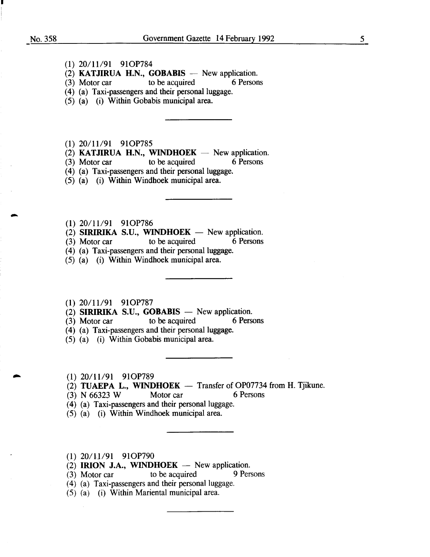- (I) 20/11/9I 9IOP784
- (2) **KATJIRUA H.N., GOBABIS**  $-$  New application.<br>(3) Motor car to be acquired 6 Persons
- $(3)$  Motor car to be acquired
- (4) (a) Taxi-passengers and their personal luggage.
- (5) (a) (i) Within Gobabis municipal area.
- (I) 20/I119I 9IOP785
- (2) KATJIRUA H.N., WINDHOEK  $-$  New application.
- (3) Motor car to be acquired 6 Persons
- (4) (a) Taxi-passengers and their personal luggage.
- (5) (a) (i) Within Windhoek municipal area.
- (I) 20/I119I 9IOP786
- (2) **SIRIRIKA S.U., WINDHOEK** New application.<br>(3) Motor car to be acquired 6 Persons
- $(3)$  Motor car
- (4) (a) Taxi-passengers and their personal luggage.
- (5) (a) (i) Within Windhoek municipal area.
- (I) 20/11/9I 9IOP787
- (2) SIRIRIKA S.U., GOBABIS New application.<br>(3) Motor car to be acquired 6 Persons
- $(3)$  Motor car to be acquired
- (4) (a) Taxi-passengers and their personal luggage.
- (5) (a) (i) Within Gobabis municipal area.
- (I) 20/11/9I 9IOP789
- (2) TUAEPA L., WINDHOEK  $-$  Transfer of OP07734 from H. Tjikune.
- (3) N  $66323$  W Motor car 6 Persons
- (4) (a) Taxi-passengers and their personal luggage.
- (5) (a) (i) Within Windhoek municipal area.
- $(1)$  20/11/91 91OP790
- (2) IRION J.A., WINDHOEK  $-$  New application.
- (3) Motor car to be acquired 9 Persons
- ( 4) (a) Taxi-passengers and their personal luggage.
- (5) (a) (i) Within Mariental municipal area.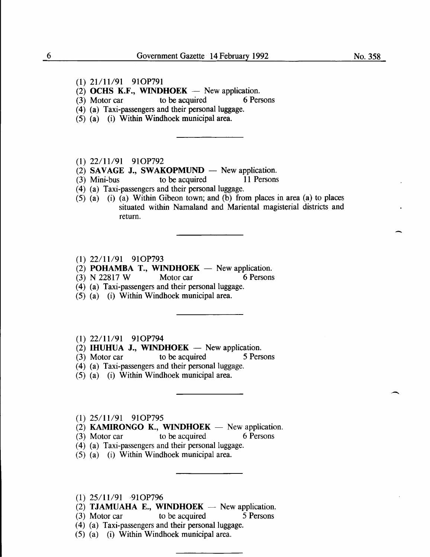- (1) 21/11/91 91OP791
- (2) OCHS K.F., WINDHOEK  $-$  New application.
- (3) Motor car to be acquired 6 Persons
- (4) (a) Taxi-passengers and their personal luggage.
- (5) (a) (i) Within Windhoek municipal area.
- $(1)$  22/11/91 91OP792
- (2) SAVAGE J., SWAKOPMUND New application.<br>
(3) Mini-bus to be acquired 11 Persons
- $(3)$  Mini-bus to be acquired
- ( 4) (a) Taxi-passengers and their personal luggage.
- (5) (a) (i) (a) Within Gibeon town; and (b) from places in area (a) to places situated within Namaland and Mariental magisterial districts and return.
- (1) 22/11/91 91OP793
- (2) **POHAMBA T., WINDHOEK** New application.<br>(3) N 22817 W Motor car 6 Persons
- (3) N 22817 W Motor car
- (4) (a) Taxi-passengers and their personal luggage.
- (5) (a) (i) Within Windhoek municipal area.
- (1) 22/11/91 910P794
- $(2)$  IHUHUA J., WINDHOEK New application.
- (3) Motor car to be acquired 5 Persons
- (4) (a) Taxi-passengers and their personal luggage.
- (5) (a) (i) Within Windhoek municipal area.
- (1) 25/11/91 910P795

(2) KAMIRONGO K., WINDHOEK  $-$  New application.

- (3) Motor car to be acquired 6 Persons
- ( 4) (a) Taxi-passengers and their personal luggage.
- (5) (a) (i) Within Windhoek municipal area.
- (1) 25/11/91 -910P796
- (2) TJAMUAHA E., WINDHOEK  $-$  New application.
- (3) Motor car to be acquired 5 Persons
- (4) (a) Taxi-passengers and their personal luggage.
- (5) (a) (i) Within Windhoek municipal area.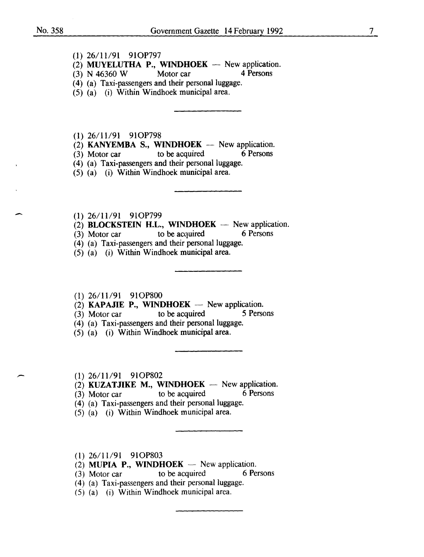$\overline{\phantom{a}}$ 

(1) 26/11/91 910P797

(2) MUYELUTHA P., WINDHOEK -- New application.<br>(3) N 46360 W Motor car 4 Persons

- $(3)$  N 46360 W Motor car
- (4) (a) Taxi-passengers and their personal luggage.
- (5) (a) (i) Within Windhoek municipal area.

(1) 26111/91 910P798

- (2) KANYEMBA S., WINDHOEK -- New application.<br>(3) Motor car to be acquired 6 Persons
- $(3)$  Motor car to be acquired
- $(4)$  (a) Taxi-passengers and their personal luggage.
- (5) (a) (i) Within Windhoek municipal area.
- (1) 26/11/91 91OP799
- (2) **BLOCKSTEIN H.L., WINDHOEK** New application.<br>(3) Motor car to be acquired 6 Persons
- $(3)$  Motor car to be acquired
- (4) (a) Taxi-passengers and their personal luggage.
- (5) (a) (i) Within Windhoek municipal area.

# (1) 26/11/91 910P800

- (2) **KAPAJIE P., WINDHOEK** New application.<br>(3) Motor car to be acquired 5 Persons
- (3) Motor car to be acquired
- (4) (a) Taxi-passengers and their personal luggage.
- $(5)$   $(a)$   $(i)$  Within Windhoek municipal area.
- (1) 26/11/91 910P802
- $(2)$  KUZATJIKE M., WINDHOEK  $-$  New application.
- (3) Motor car to be acquired 6 Persons
- $(4)$  (a) Taxi-passengers and their personal luggage.
- $(5)$   $(a)$   $(i)$  Within Windhoek municipal area.
- (1) 26/11/91 910P803
- (2) MUPIA P., WINDHOEK New application.<br>(3) Motor car to be acquired 6 Persons
- (3) Motor car to be acquired
- $(4)$  (a) Taxi-passengers and their personal luggage.
- (5) (a) (i) Within Windhoek municipal area.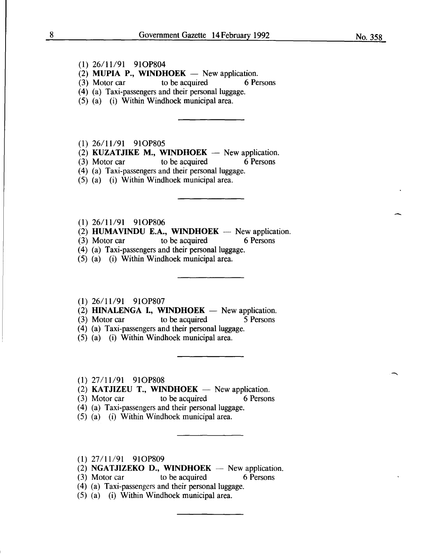- (1) 26/11/91 910P804
- (2) MUPIA P., WINDHOEK  $-$  New application.<br>(3) Motor car to be acquired 6 Persons
- (3) Motor car to be acquired
- (4) (a) Taxi-passengers and their personal luggage.
- (5) (a) (i) Within Windhoek municipal area.

(1) 26/11/91 910P805

(2) KUZATJIKE M., WINDHOEK  $-$  New application.

(3) Motor car to be acquired  $\overline{6}$  Persons

(4) (a) Taxi-passengers and their personal luggage.

(5) (a) (i) Within Windhoek municipal area.

 $(1)$  26/11/91 91OP806

(2) HUMAVINDU E.A., WINDHOEK -- New application.<br>(3) Motor car to be acquired 6 Persons

(3) Motor car to be acquired

(4) (a) Taxi-passengers and their personal luggage.

(5) (a) (i) Within Windhoek municipal area.

(1) 26/11/91 910P807

(2) HINALENGA I., WINDHOEK  $-$  New application.

(3) Motor car to be acquired  $\overline{5}$  Persons

(4) (a) Taxi-passengers and their personal luggage.

(5) (a) (i) Within Windhoek municipal area.

(1) 27/11/91 910P808

(2) KATJIZEU T., WINDHOEK  $-$  New application.

(3) Motor car to be acquired 6 Persons

( 4) (a) Taxi-passengers and their personal luggage.

(5) (a) (i) Within Windhoek municipal area.

(1) 27/11/91 910P809

(2) NGATJIZEKO D., WINDHOEK  $-$  New application.

(3) Motor car to be acquired 6 Persons

( 4) (a) Taxi-passengers and their personal luggage.

(5) (a) (i) Within Windhoek municipal area.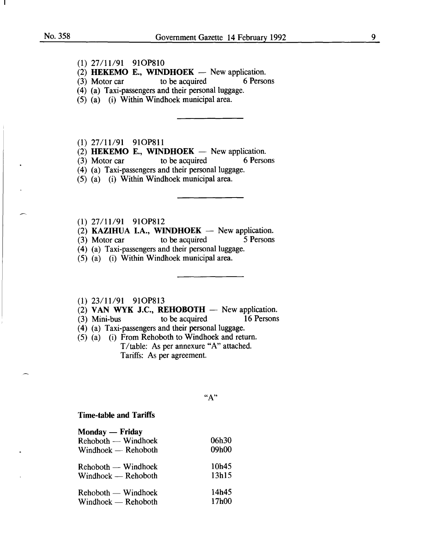- (1) 27/11/91 910P810
- (2) **HEKEMO E., WINDHOEK** New application.<br>(3) Motor car to be acquired 6 Persons
- (3) Motor car to be acquired 6 Persons
- (4) (a) Taxi-passengers and their personal luggage.
- (5) (a) (i) Within Windhoek municipal area.

(1) 27/11/91 910P811

- (2) **HEKEMO E., WINDHOEK**  $-$  New application.<br>(3) Motor car to be acquired 6 Persons
- to be acquired

(4) (a) Taxi-passengers and their personal luggage.

- (5) (a) (i) Within Windhoek municipal area.
- (1) 27/11/91 910P812
- (2) **KAZIHUA I.A., WINDHOEK** New application.<br>(3) Motor car to be acquired 5 Persons
- $(3)$  Motor car to be acquired
- (4) (a) Taxi-passengers and their personal luggage.
- (5) (a) (i) Within Windhoek municipal area.

# (1) 23/11/91 910P813

- (2) VAN WYK J.C., REHOBOTH  $-$  New application.<br>(3) Mini-bus to be acquired 16 Persons
- to be acquired
- (4) (a) Taxi-passengers and their personal luggage.
- (5) (a) (i) From Rehoboth to Windhoek and return. T /table: As per annexure "A" attached. Tariffs: As per agreement.

"A"

## Time-table and Tariffs

| Monday — Friday<br>$Rehoboth$ — Windhoek<br>$Window$ - Rehoboth | 06h30<br>09h00 |
|-----------------------------------------------------------------|----------------|
| Rehoboth — Windhoek                                             | 10h45          |
| Windhoek — Rehoboth                                             | 13h15          |
| $Rehoboth$ — Windhoek                                           | 14h45          |
| $Window$ – Rehoboth                                             | 17h00          |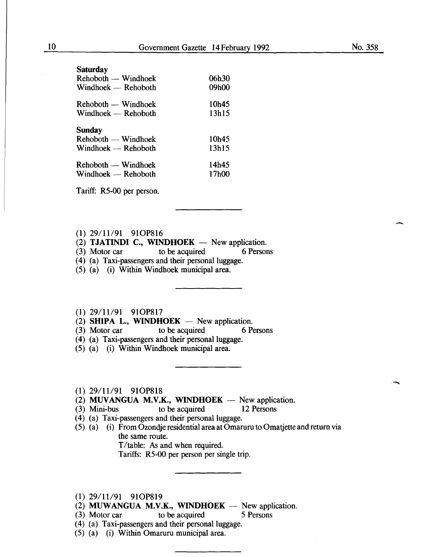| Saturday            |       |
|---------------------|-------|
| Rehoboth — Windhoek | 06h30 |
| Windhoek — Rehoboth | 09h00 |
| Rehoboth — Windhoek | 10h45 |
| Windhoek — Rehoboth | 13h15 |
|                     |       |
|                     |       |
| Sunday              |       |
| Rehoboth — Windhoek | 10h45 |
| Windhoek — Rehoboth | 13h15 |
|                     |       |
| Rehoboth — Windhoek | 14h45 |
| Windhoek — Rehoboth | 17h00 |

Tariff: R5-00 per person.

- (1) 29/11/91 910P816
- $(2)$  TJATINDI C., WINDHOEK New application.
- (3) Motor car to be acquired 6 Persons
- (4) (a) Taxi-passengers and their personal luggage.
- (5) (a) (i) Within Windhoek municipal area.
- (1) 29/11/91 910P817
- (2) SHIPA L., WINDHOEK New application.<br>(3) Motor car to be acquired 6 P
- (3) Motor car to be acquired 6 Persons
- (4) (a) Taxi-passengers and their personal luggage.
- (5) (a) (i) Within Windhoek municipal area.
- (1) 29/11/91 910P818
- (2) MUVANGUA M.V.K., WINDHOEK New application.<br>(3) Mini-bus to be acquired 12 Persons
- $(3)$  Mini-bus
- (4) (a) Taxi-passengers and their personal luggage.
- (5) (a) (i) From Ozondje residential area at Omaruru to Omatjette and return via the same route. T/table: As and when required.

Tariffs: R5-00 per person per single trip.

- (1) 29/11/91 910P819
- (2) MUWANGUA M.V.K., WINDHOEK  $-$  New application.
- (3) Motor car to be acquired *5* Persons
- (4) (a) Taxi-passengers and their personal luggage.
- (5) (a) (i) Within Omaruru municipal area.

-

-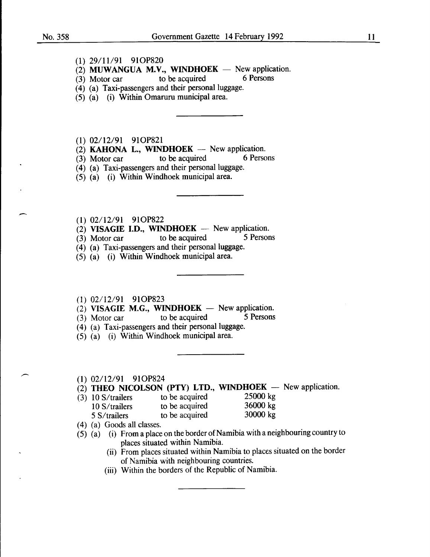- (1) 29/11/91 910P820
- (2) MUWANGUA M.V., WINDHOEK New application.<br>(3) Motor car to be acquired 6 Persons
- $(3)$  Motor car
- (4) (a) Taxi-passengers and their personal luggage.
- (5) (a) (i) Within Omaruru municipal area.

(1) 02/12/91 910P821

- (2) KAHONA L., WINDHOEK  $-$  New application.<br>(3) Motor car to be acquired 6 Persons
- $(3)$  Motor car to be acquired
- (4) (a) Taxi-passengers and their personal luggage.
- (5) (a) (i) Within Windhoek municipal area.
- (1) 02/12/91 910P822
- (2) VISAGIE I.D., WINDHOEK New application.<br>(3) Motor car to be acquired 5 Persons
- (3) Motor car to be acquired 5 Persons
- (4) (a) Taxi-passengers and their personal luggage.
- (5) (a) (i) Within Windhoek municipal area.
- (1) 02/12/91 910P823

(2) VISAGIE M.G., WINDHOEK - New application.<br>(3) Motor car to be acquired 5 Persons

- $(3)$  Motor car to be acquired
- ( 4) (a) Taxi-passengers and their personal luggage.
- (5) (a) (i) Within Windhoek municipal area.
- (1) 02/12/91 910P824
- $(2)$  THEO NICOLSON (PTY) LTD., WINDHOEK New application.
- (3) 10 S/trailers to be acquired 25000 kg<br>10 S/trailers to be acquired 36000 kg
	- to be acquired 36000 kg<br>to be acquired 30000 kg 5 S/trailers to be acquired
- ( 4) (a) Goods all classes.
- (5) (a) (i) From a place on the border of Namibia with a neighbouring country to places situated within Namibia.
	- (ii) From places situated within Namibia to places situated on the border of Namibia with neighbouring countries.
	- (iii) Within the borders of the Republic of Namibia.